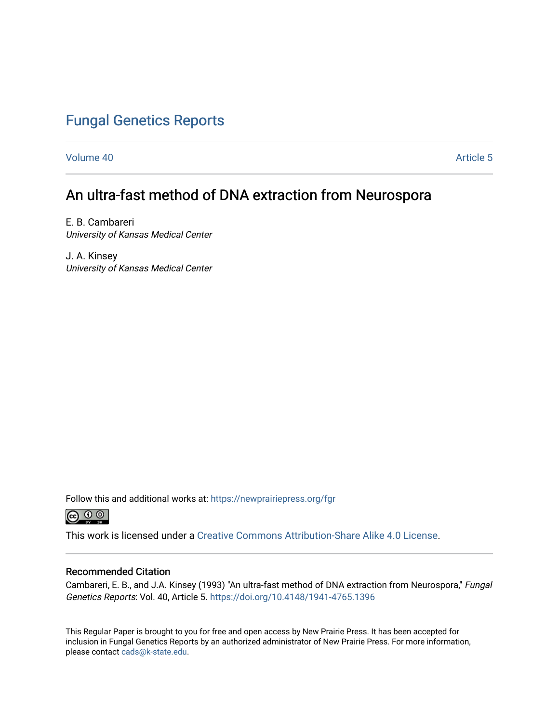## [Fungal Genetics Reports](https://newprairiepress.org/fgr)

[Volume 40](https://newprairiepress.org/fgr/vol40) [Article 5](https://newprairiepress.org/fgr/vol40/iss1/5) 

# An ultra-fast method of DNA extraction from Neurospora

E. B. Cambareri University of Kansas Medical Center

J. A. Kinsey University of Kansas Medical Center

Follow this and additional works at: [https://newprairiepress.org/fgr](https://newprairiepress.org/fgr?utm_source=newprairiepress.org%2Ffgr%2Fvol40%2Fiss1%2F5&utm_medium=PDF&utm_campaign=PDFCoverPages) 



This work is licensed under a [Creative Commons Attribution-Share Alike 4.0 License.](https://creativecommons.org/licenses/by-sa/4.0/)

#### Recommended Citation

Cambareri, E. B., and J.A. Kinsey (1993) "An ultra-fast method of DNA extraction from Neurospora," Fungal Genetics Reports: Vol. 40, Article 5.<https://doi.org/10.4148/1941-4765.1396>

This Regular Paper is brought to you for free and open access by New Prairie Press. It has been accepted for inclusion in Fungal Genetics Reports by an authorized administrator of New Prairie Press. For more information, please contact [cads@k-state.edu.](mailto:cads@k-state.edu)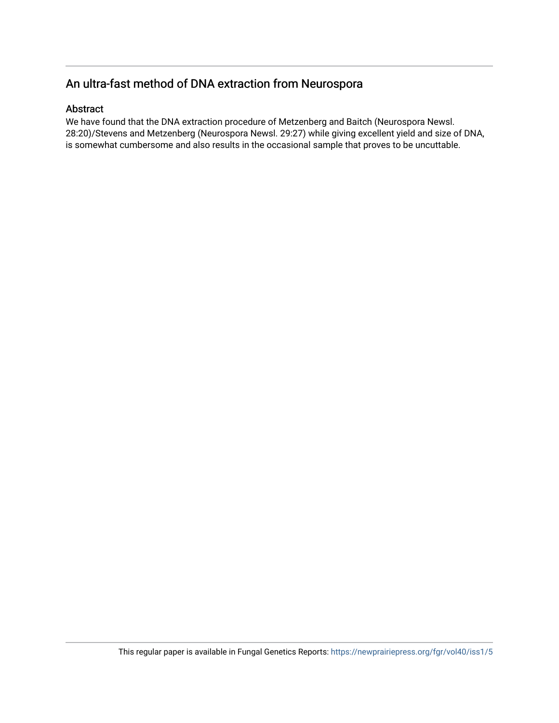## An ultra-fast method of DNA extraction from Neurospora

#### Abstract

We have found that the DNA extraction procedure of Metzenberg and Baitch (Neurospora Newsl. 28:20)/Stevens and Metzenberg (Neurospora Newsl. 29:27) while giving excellent yield and size of DNA, is somewhat cumbersome and also results in the occasional sample that proves to be uncuttable.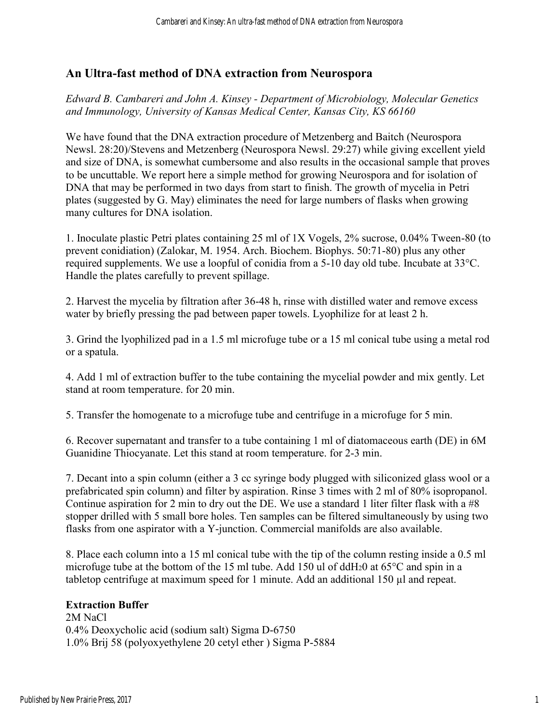## **An Ultra-fast method of DNA extraction from Neurospora**

*Edward B. Cambareri and John A. Kinsey - Department of Microbiology, Molecular Genetics and Immunology, University of Kansas Medical Center, Kansas City, KS 66160* 

We have found that the DNA extraction procedure of Metzenberg and Baitch (Neurospora Newsl. 28:20)/Stevens and Metzenberg (Neurospora Newsl. 29:27) while giving excellent yield and size of DNA, is somewhat cumbersome and also results in the occasional sample that proves to be uncuttable. We report here a simple method for growing Neurospora and for isolation of DNA that may be performed in two days from start to finish. The growth of mycelia in Petri plates (suggested by G. May) eliminates the need for large numbers of flasks when growing many cultures for DNA isolation.

1. Inoculate plastic Petri plates containing 25 ml of 1X Vogels, 2% sucrose, 0.04% Tween-80 (to prevent conidiation) (Zalokar, M. 1954. Arch. Biochem. Biophys. 50:71-80) plus any other required supplements. We use a loopful of conidia from a 5-10 day old tube. Incubate at 33°C. Handle the plates carefully to prevent spillage.

2. Harvest the mycelia by filtration after 36-48 h, rinse with distilled water and remove excess water by briefly pressing the pad between paper towels. Lyophilize for at least 2 h.

3. Grind the lyophilized pad in a 1.5 ml microfuge tube or a 15 ml conical tube using a metal rod or a spatula.

4. Add 1 ml of extraction buffer to the tube containing the mycelial powder and mix gently. Let stand at room temperature. for 20 min.

5. Transfer the homogenate to a microfuge tube and centrifuge in a microfuge for 5 min.

6. Recover supernatant and transfer to a tube containing 1 ml of diatomaceous earth (DE) in 6M Guanidine Thiocyanate. Let this stand at room temperature. for 2-3 min.

7. Decant into a spin column (either a 3 cc syringe body plugged with siliconized glass wool or a prefabricated spin column) and filter by aspiration. Rinse 3 times with 2 ml of 80% isopropanol. Continue aspiration for 2 min to dry out the DE. We use a standard 1 liter filter flask with a #8 stopper drilled with 5 small bore holes. Ten samples can be filtered simultaneously by using two flasks from one aspirator with a Y-junction. Commercial manifolds are also available.

8. Place each column into a 15 ml conical tube with the tip of the column resting inside a 0.5 ml microfuge tube at the bottom of the 15 ml tube. Add 150 ul of ddH20 at 65°C and spin in a tabletop centrifuge at maximum speed for 1 minute. Add an additional 150 µl and repeat.

### **Extraction Buffer**

2M NaCl 0.4% Deoxycholic acid (sodium salt) Sigma D-6750 1.0% Brij 58 (polyoxyethylene 20 cetyl ether ) Sigma P-5884